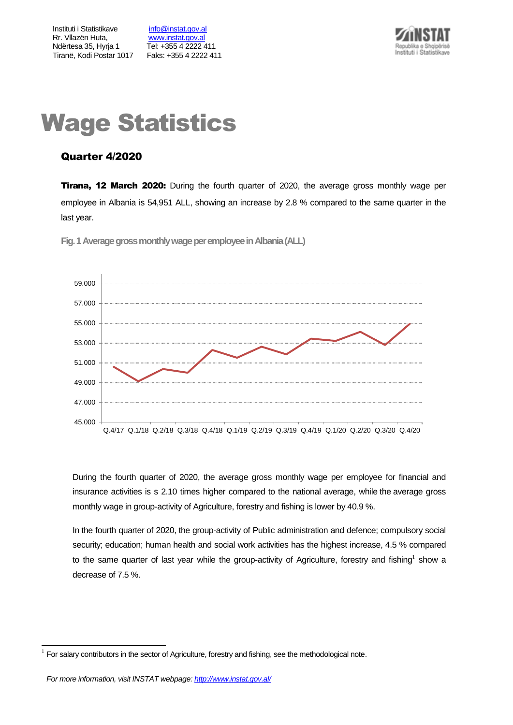Instituti i Statistikave [info@instat.gov.al](mailto:info@instat.gov.al) Rr. Vllazën Huta, [www.instat.gov.al](http://www.instat.gov.al/) Ndërtesa 35, Hyrja 1 Tel: +355 4 2222 411 Tiranë, Kodi Postar 1017 Faks: +355 4 2222 411



# Wage Statistics

# Quarter 4/2020

**Tirana, 12 March 2020:** During the fourth quarter of 2020, the average gross monthly wage per employee in Albania is 54,951 ALL, showing an increase by 2.8 % compared to the same quarter in the last year.

45.000 47.000 49.000 51.000 53.000 55.000 57.000 59.000 Q.4/17 Q.1/18 Q.2/18 Q.3/18 Q.4/18 Q.1/19 Q.2/19 Q.3/19 Q.4/19 Q.1/20 Q.2/20 Q.3/20 Q.4/20

**Fig.1Average gross monthly wage per employeein Albania(ALL)**

During the fourth quarter of 2020, the average gross monthly wage per employee for financial and insurance activities is s 2.10 times higher compared to the national average, while the average gross monthly wage in group-activity of Agriculture, forestry and fishing is lower by 40.9 %.

In the fourth quarter of 2020, the group-activity of Public administration and defence; compulsory social security; education; human health and social work activities has the highest increase, 4.5 % compared to the same quarter of last year while the group-activity of Agriculture, forestry and fishing<sup>1</sup> show a decrease of 7.5 %.

l

<sup>1</sup> For salary contributors in the sector of Agriculture, forestry and fishing, see the methodological note.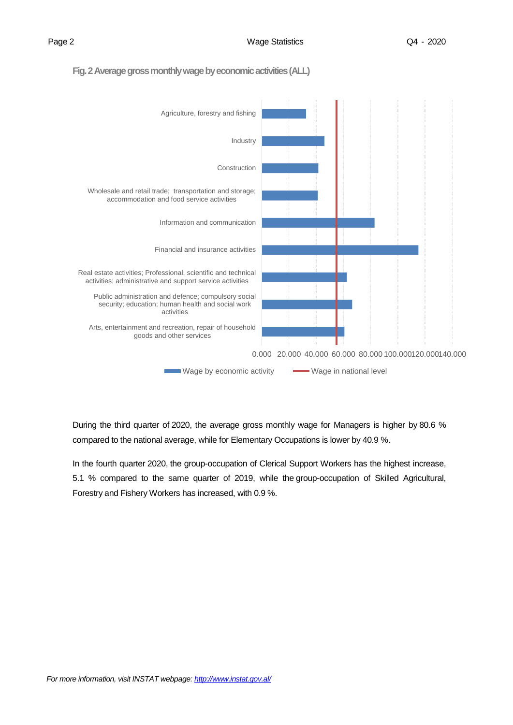# **Fig. 2 Average gross monthly wage by economic activities(ALL)**



During the third quarter of 2020, the average gross monthly wage for Managers is higher by 80.6 % compared to the national average, while for Elementary Occupations is lower by 40.9 %.

In the fourth quarter 2020, the group-occupation of Clerical Support Workers has the highest increase, 5.1 % compared to the same quarter of 2019, while the group-occupation of Skilled Agricultural, Forestry and Fishery Workers has increased, with 0.9 %.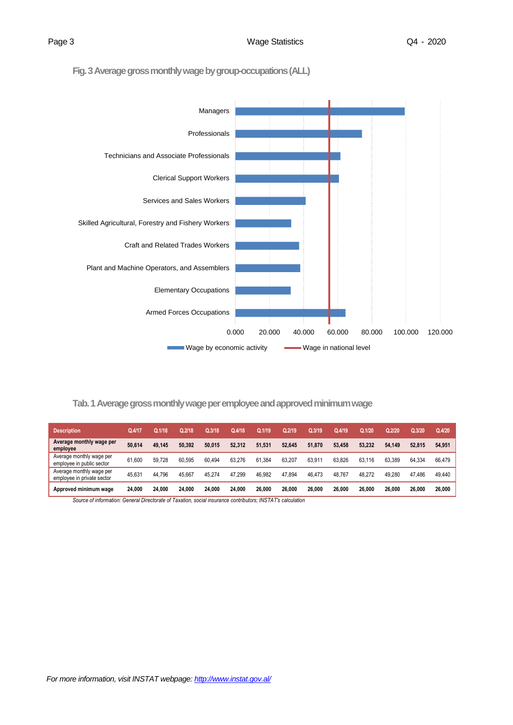# **Fig. 3Average gross monthly wage by group-occupations(ALL)**



## **Tab. 1 Average gross monthly wage per employee and approved minimum wage**

| <b>Description</b>                                     | Q.4/17 | Q.1/18 | Q.2/18 | Q.3/18 | Q.4/18 | Q.1/19     | Q.2/19 | Q.3/19 | Q.4/19 | Q.1/20 | 0.2/20 | Q.3/20 | Q.4/20 |
|--------------------------------------------------------|--------|--------|--------|--------|--------|------------|--------|--------|--------|--------|--------|--------|--------|
| Average monthly wage per<br>employee                   | 50.614 | 49.145 | 50.392 | 50.015 | 52.312 | 51.531     | 52.645 | 51.870 | 53.458 | 53.232 | 54.149 | 52.815 | 54.951 |
| Average monthly wage per<br>employee in public sector  | 61.600 | 59.728 | 60.595 | 60.494 | 63.276 | .384<br>61 | 63.207 | 63.911 | 63.826 | 63.116 | 63.389 | 64.334 | 66.479 |
| Average monthly wage per<br>employee in private sector | 45.631 | 44.796 | 45.667 | 45.274 | 47,299 | 46.982     | 47.894 | 46.473 | 48.767 | 48.272 | 49.280 | 47.486 | 49.440 |
| Approved minimum wage                                  | 24.000 | 24.000 | 24.000 | 24.000 | 24.000 | 26.000     | 26.000 | 26.000 | 26,000 | 26,000 | 26.000 | 26.000 | 26,000 |

*Source of information: General Directorate of Taxation, social insurance contributors; INSTAT's calculation*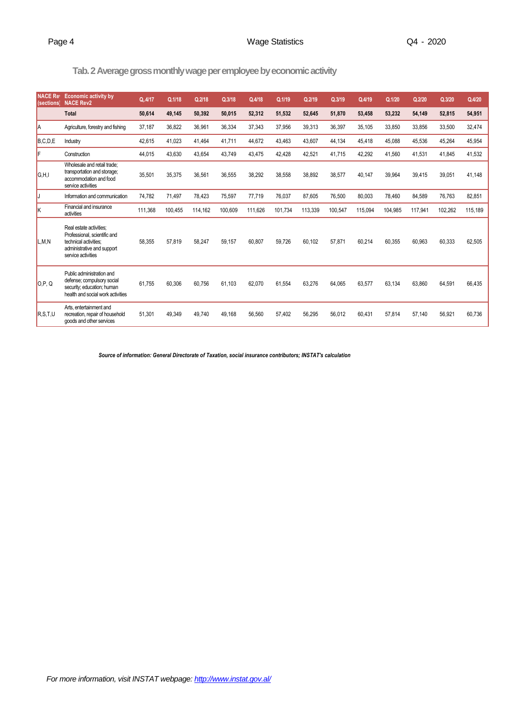# **Tab.2 Average gross monthly wage per employee by economic activity**

| <b>NACE Ret</b><br><i>(sections</i> | <b>Economic activity by</b><br><b>NACE Rev2</b>                                                                                      | Q.4/17  | Q.1/18  | Q.2/18  | Q.3/18  | Q.4/18  | Q.1/19  | Q.2/19  | Q.3/19  | Q.4/19  | Q.1/20  | Q.2/20  | Q.3/20  | Q.4/20  |
|-------------------------------------|--------------------------------------------------------------------------------------------------------------------------------------|---------|---------|---------|---------|---------|---------|---------|---------|---------|---------|---------|---------|---------|
|                                     | <b>Total</b>                                                                                                                         | 50,614  | 49,145  | 50,392  | 50,015  | 52,312  | 51,532  | 52,645  | 51,870  | 53,458  | 53,232  | 54,149  | 52,815  | 54,951  |
| IA                                  | Agriculture, forestry and fishing                                                                                                    | 37,187  | 36,822  | 36,961  | 36,334  | 37,343  | 37,956  | 39,313  | 36,397  | 35,105  | 33,850  | 33,856  | 33,500  | 32,474  |
| B, C, D, E                          | Industry                                                                                                                             | 42,615  | 41,023  | 41,464  | 41,711  | 44,672  | 43,463  | 43,607  | 44,134  | 45,418  | 45,088  | 45,536  | 45,264  | 45,954  |
| F                                   | Construction                                                                                                                         | 44,015  | 43,630  | 43,654  | 43,749  | 43,475  | 42,428  | 42,521  | 41,715  | 42,292  | 41,560  | 41,531  | 41,845  | 41,532  |
| G, H, I                             | Wholesale and retail trade:<br>transportation and storage;<br>accommodation and food<br>service activities                           | 35,501  | 35,375  | 36,561  | 36.555  | 38,292  | 38.558  | 38.892  | 38.577  | 40.147  | 39,964  | 39,415  | 39,051  | 41,148  |
| IJ                                  | Information and communication                                                                                                        | 74,782  | 71,497  | 78,423  | 75,597  | 77,719  | 76,037  | 87,605  | 76,500  | 80,003  | 78,460  | 84,589  | 76,763  | 82,851  |
| ΙK                                  | Financial and insurance<br>activities                                                                                                | 111,368 | 100,455 | 114,162 | 100,609 | 111,626 | 101,734 | 113,339 | 100,547 | 115,094 | 104,985 | 117,941 | 102,262 | 115,189 |
| L,M,N                               | Real estate activities;<br>Professional, scientific and<br>technical activities:<br>administrative and support<br>service activities | 58.355  | 57,819  | 58,247  | 59.157  | 60,807  | 59.726  | 60.102  | 57.871  | 60,214  | 60.355  | 60,963  | 60,333  | 62,505  |
| O.P. Q                              | Public administration and<br>defense; compulsory social<br>security; education; human<br>health and social work activities           | 61,755  | 60,306  | 60,756  | 61,103  | 62,070  | 61,554  | 63,276  | 64,065  | 63,577  | 63,134  | 63,860  | 64,591  | 66,435  |
| R.S.T.U                             | Arts, entertainment and<br>recreation, repair of household<br>goods and other services                                               | 51,301  | 49.349  | 49.740  | 49.168  | 56,560  | 57,402  | 56,295  | 56,012  | 60,431  | 57,814  | 57,140  | 56,921  | 60,736  |

*Source of information: General Directorate of Taxation, social insurance contributors; INSTAT's calculation*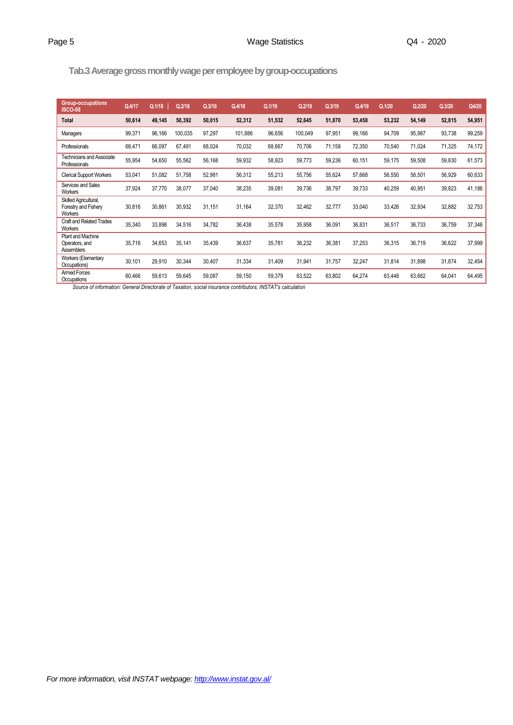# **Tab.3Average gross monthly wage per employee by group-occupations**

| Group-occupations<br><b>ISCO-08</b>                             | Q.4/17 | Q.1/18 | Q.2/18  | Q.3/18 | Q.4/18  | Q.1/19 | Q.2/19  | Q.3/19 | Q.4/19 | Q.1/20 | Q.2/20 | Q.3/20 | Q4/20  |
|-----------------------------------------------------------------|--------|--------|---------|--------|---------|--------|---------|--------|--------|--------|--------|--------|--------|
| <b>Total</b>                                                    | 50,614 | 49,145 | 50,392  | 50,015 | 52,312  | 51,532 | 52,645  | 51,870 | 53,458 | 53,232 | 54,149 | 52,815 | 54,951 |
| Managers                                                        | 99,371 | 96,166 | 100,035 | 97,297 | 101,886 | 96,656 | 100,049 | 97,951 | 99,166 | 94,709 | 95,987 | 93,738 | 99,259 |
| Professionals                                                   | 68,471 | 66,097 | 67,491  | 68,024 | 70,032  | 68,667 | 70,706  | 71,158 | 72,350 | 70,540 | 71,024 | 71,325 | 74,172 |
| <b>Technicians and Associate</b><br>Professionals               | 55,954 | 54,650 | 55,562  | 56,168 | 59,932  | 58,923 | 59,773  | 59,236 | 60,151 | 59,175 | 59,508 | 59,830 | 61,573 |
| <b>Clerical Support Workers</b>                                 | 53,041 | 51,082 | 51,758  | 52,981 | 56,312  | 55,213 | 55,756  | 55,624 | 57,668 | 56,550 | 58,501 | 56,929 | 60,633 |
| Services and Sales<br>Workers                                   | 37,924 | 37,770 | 38,077  | 37,040 | 38,235  | 39,081 | 39,736  | 38,797 | 39,733 | 40,259 | 40,951 | 39,823 | 41,186 |
| Skilled Agricultural,<br>Forestry and Fishery<br>Workers        | 30,816 | 30,861 | 30,932  | 31,151 | 31,164  | 32,370 | 32,462  | 32,777 | 33,040 | 33,426 | 32,934 | 32,882 | 32,753 |
| <b>Craft and Related Trades</b><br>Workers                      | 35,340 | 33,898 | 34,516  | 34,782 | 36,438  | 35,578 | 35,958  | 36,091 | 36,831 | 36,517 | 36,733 | 36,759 | 37,346 |
| <b>Plant and Machine</b><br>Operators, and<br><b>Assemblers</b> | 35,716 | 34,653 | 35,141  | 35,439 | 36,637  | 35,781 | 36,232  | 36,381 | 37,253 | 36,315 | 36,719 | 36,622 | 37,999 |
| <b>Workers (Elementary</b><br>Occupations)                      | 30,101 | 29,910 | 30,344  | 30,407 | 31,334  | 31,409 | 31,941  | 31,757 | 32,247 | 31,814 | 31,898 | 31,874 | 32,454 |
| Armed Forces<br>Occupations                                     | 60,466 | 59,613 | 59,645  | 59,087 | 59,150  | 59,379 | 63,522  | 63,802 | 64,274 | 63,448 | 63,662 | 64,041 | 64,495 |

*Source of information: General Directorate of Taxation, social insurance contributors; INSTAT's calculation*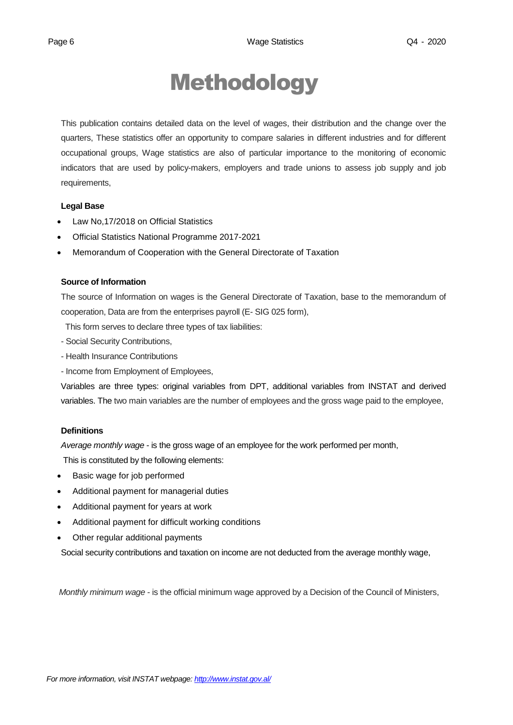# Methodology

This publication contains detailed data on the level of wages, their distribution and the change over the quarters, These statistics offer an opportunity to compare salaries in different industries and for different occupational groups, Wage statistics are also of particular importance to the monitoring of economic indicators that are used by policy-makers, employers and trade unions to assess job supply and job requirements,

### **Legal Base**

- [Law No,17/2018 on Official Statistics](http://instat.gov.al/media/3972/law-no17-2018-on-official-statistics.pdf)
- Official Statistics National Programme 2017-2021
- Memorandum of Cooperation with the General Directorate of Taxation

### **Source of Information**

The source of Information on wages is the General Directorate of Taxation, base to the memorandum of cooperation, Data are from the enterprises payroll (E- SIG 025 form),

This form serves to declare three types of tax liabilities:

- Social Security Contributions,
- Health Insurance Contributions
- Income from Employment of Employees,

Variables are three types: original variables from DPT, additional variables from INSTAT and derived variables. The two main variables are the number of employees and the gross wage paid to the employee,

### **Definitions**

*Average monthly wage* - is the gross wage of an employee for the work performed per month,

This is constituted by the following elements:

- Basic wage for job performed
- Additional payment for managerial duties
- Additional payment for years at work
- Additional payment for difficult working conditions
- Other regular additional payments

Social security contributions and taxation on income are not deducted from the average monthly wage,

*Monthly minimum wage* - is the official minimum wage approved by a Decision of the Council of Ministers,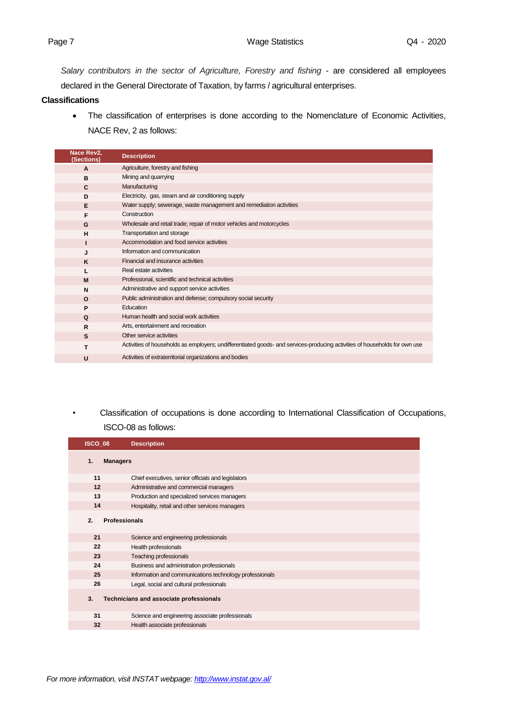*Salary contributors in the sector of Agriculture, Forestry and fishing* - are considered all employees declared in the General Directorate of Taxation, by farms / agricultural enterprises.

## **Classifications**

 The classification of enterprises is done according to the Nomenclature of Economic Activities, NACE Rev, 2 as follows:

| Nace Rev2,<br>(Sections) | <b>Description</b>                                                                                                         |
|--------------------------|----------------------------------------------------------------------------------------------------------------------------|
| A                        | Agriculture, forestry and fishing                                                                                          |
| в                        | Mining and quarrying                                                                                                       |
| $\mathbf{C}$             | Manufacturing                                                                                                              |
| D                        | Electricity, gas, steam and air conditioning supply                                                                        |
| Е                        | Water supply; sewerage, waste management and remediation activities                                                        |
| F                        | Construction                                                                                                               |
| G                        | Wholesale and retail trade; repair of motor vehicles and motorcycles                                                       |
| H                        | Transportation and storage                                                                                                 |
|                          | Accommodation and food service activities                                                                                  |
| J                        | Information and communication                                                                                              |
| K                        | Financial and insurance activities                                                                                         |
|                          | Real estate activities                                                                                                     |
| M                        | Professional, scientific and technical activities                                                                          |
| N                        | Administrative and support service activities                                                                              |
| $\Omega$                 | Public administration and defense; compulsory social security                                                              |
| P                        | Education                                                                                                                  |
| Q                        | Human health and social work activities                                                                                    |
| $\mathsf{R}$             | Arts, entertainment and recreation                                                                                         |
| S                        | Other service activities                                                                                                   |
|                          | Activities of households as employers; undifferentiated goods- and services-producing activities of households for own use |
| U                        | Activities of extraterritorial organizations and bodies                                                                    |

*•* Classification of occupations is done according to International Classification of Occupations, ISCO-08 as follows:

| ISCO 08 | <b>Description</b>                                      |
|---------|---------------------------------------------------------|
| 1.      | <b>Managers</b>                                         |
| 11      | Chief executives, senior officials and legislators      |
| 12      | Administrative and commercial managers                  |
| 13      | Production and specialized services managers            |
| 14      | Hospitality, retail and other services managers         |
| 2.      | <b>Professionals</b>                                    |
| 21      | Science and engineering professionals                   |
| 22      | Health professionals                                    |
| 23      | Teaching professionals                                  |
| 24      | Business and administration professionals               |
| 25      | Information and communications technology professionals |
| 26      | Legal, social and cultural professionals                |
| 3.      | Technicians and associate professionals                 |
| 31      | Science and engineering associate professionals         |
| 32      | Health associate professionals                          |